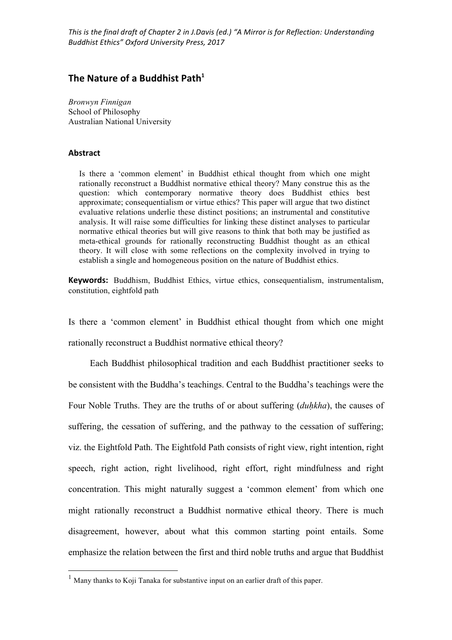*This is the final draft of Chapter 2 in J.Davis (ed.)* "A Mirror is for Reflection: Understanding *Buddhist Ethics" Oxford University Press, 2017*

## **The Nature of a Buddhist Path**<sup>1</sup>

*Bronwyn Finnigan* School of Philosophy Australian National University

#### **Abstract**

Is there a 'common element' in Buddhist ethical thought from which one might rationally reconstruct a Buddhist normative ethical theory? Many construe this as the question: which contemporary normative theory does Buddhist ethics best approximate; consequentialism or virtue ethics? This paper will argue that two distinct evaluative relations underlie these distinct positions; an instrumental and constitutive analysis. It will raise some difficulties for linking these distinct analyses to particular normative ethical theories but will give reasons to think that both may be justified as meta-ethical grounds for rationally reconstructing Buddhist thought as an ethical theory. It will close with some reflections on the complexity involved in trying to establish a single and homogeneous position on the nature of Buddhist ethics.

**Keywords:** Buddhism, Buddhist Ethics, virtue ethics, consequentialism, instrumentalism, constitution, eightfold path

Is there a 'common element' in Buddhist ethical thought from which one might rationally reconstruct a Buddhist normative ethical theory?

Each Buddhist philosophical tradition and each Buddhist practitioner seeks to be consistent with the Buddha's teachings. Central to the Buddha's teachings were the Four Noble Truths. They are the truths of or about suffering (*duḥkha*), the causes of suffering, the cessation of suffering, and the pathway to the cessation of suffering; viz. the Eightfold Path. The Eightfold Path consists of right view, right intention, right speech, right action, right livelihood, right effort, right mindfulness and right concentration. This might naturally suggest a 'common element' from which one might rationally reconstruct a Buddhist normative ethical theory. There is much disagreement, however, about what this common starting point entails. Some emphasize the relation between the first and third noble truths and argue that Buddhist

<sup>&</sup>lt;sup>1</sup> Many thanks to Koji Tanaka for substantive input on an earlier draft of this paper.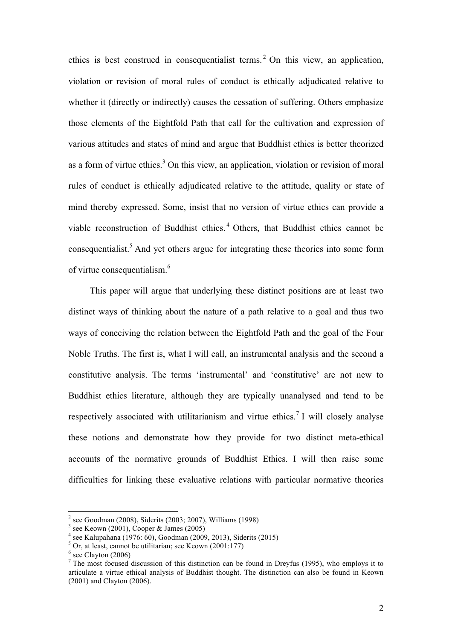ethics is best construed in consequentialist terms.<sup>2</sup> On this view, an application, violation or revision of moral rules of conduct is ethically adjudicated relative to whether it (directly or indirectly) causes the cessation of suffering. Others emphasize those elements of the Eightfold Path that call for the cultivation and expression of various attitudes and states of mind and argue that Buddhist ethics is better theorized as a form of virtue ethics.<sup>3</sup> On this view, an application, violation or revision of moral rules of conduct is ethically adjudicated relative to the attitude, quality or state of mind thereby expressed. Some, insist that no version of virtue ethics can provide a viable reconstruction of Buddhist ethics. <sup>4</sup> Others, that Buddhist ethics cannot be consequentialist. <sup>5</sup> And yet others argue for integrating these theories into some form of virtue consequentialism. 6

This paper will argue that underlying these distinct positions are at least two distinct ways of thinking about the nature of a path relative to a goal and thus two ways of conceiving the relation between the Eightfold Path and the goal of the Four Noble Truths. The first is, what I will call, an instrumental analysis and the second a constitutive analysis. The terms 'instrumental' and 'constitutive' are not new to Buddhist ethics literature, although they are typically unanalysed and tend to be respectively associated with utilitarianism and virtue ethics.<sup>7</sup> I will closely analyse these notions and demonstrate how they provide for two distinct meta-ethical accounts of the normative grounds of Buddhist Ethics. I will then raise some difficulties for linking these evaluative relations with particular normative theories

<sup>&</sup>lt;sup>2</sup> see Goodman (2008), Siderits (2003; 2007), Williams (1998)<br><sup>3</sup> see Keown (2001), Cooper & James (2005)

<sup>&</sup>lt;sup>4</sup> see Kalupahana (1976: 60), Goodman (2009, 2013), Siderits (2015)<br><sup>5</sup> Or, at least, cannot be utilitarian; see Keown (2001:177)<br><sup>6</sup> see Clayton (2006)<br><sup>7</sup> The most focused discussion of this distinction can be found in articulate a virtue ethical analysis of Buddhist thought. The distinction can also be found in Keown (2001) and Clayton (2006).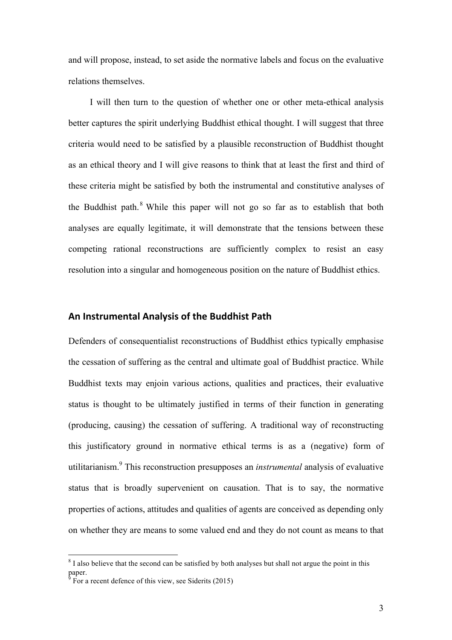and will propose, instead, to set aside the normative labels and focus on the evaluative relations themselves.

I will then turn to the question of whether one or other meta-ethical analysis better captures the spirit underlying Buddhist ethical thought. I will suggest that three criteria would need to be satisfied by a plausible reconstruction of Buddhist thought as an ethical theory and I will give reasons to think that at least the first and third of these criteria might be satisfied by both the instrumental and constitutive analyses of the Buddhist path.<sup>8</sup> While this paper will not go so far as to establish that both analyses are equally legitimate, it will demonstrate that the tensions between these competing rational reconstructions are sufficiently complex to resist an easy resolution into a singular and homogeneous position on the nature of Buddhist ethics.

### **An Instrumental Analysis of the Buddhist Path**

Defenders of consequentialist reconstructions of Buddhist ethics typically emphasise the cessation of suffering as the central and ultimate goal of Buddhist practice. While Buddhist texts may enjoin various actions, qualities and practices, their evaluative status is thought to be ultimately justified in terms of their function in generating (producing, causing) the cessation of suffering. A traditional way of reconstructing this justificatory ground in normative ethical terms is as a (negative) form of utilitarianism.9 This reconstruction presupposes an *instrumental* analysis of evaluative status that is broadly supervenient on causation. That is to say, the normative properties of actions, attitudes and qualities of agents are conceived as depending only on whether they are means to some valued end and they do not count as means to that

<sup>&</sup>lt;sup>8</sup> I also believe that the second can be satisfied by both analyses but shall not argue the point in this paper.

For a recent defence of this view, see Siderits (2015)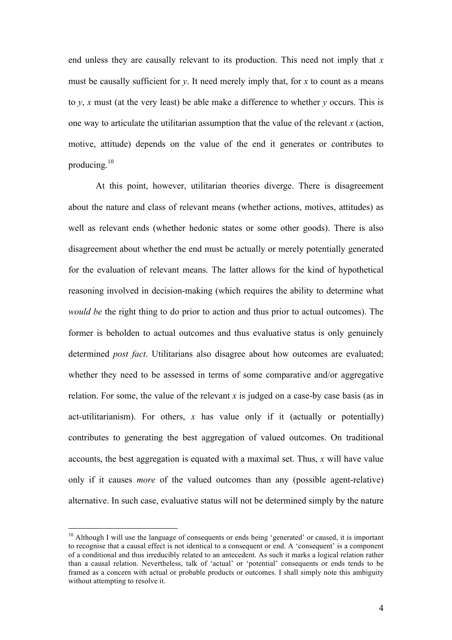end unless they are causally relevant to its production. This need not imply that *x* must be causally sufficient for  $y$ . It need merely imply that, for  $x$  to count as a means to *y*, *x* must (at the very least) be able make a difference to whether *y* occurs. This is one way to articulate the utilitarian assumption that the value of the relevant *x* (action, motive, attitude) depends on the value of the end it generates or contributes to producing.10

At this point, however, utilitarian theories diverge. There is disagreement about the nature and class of relevant means (whether actions, motives, attitudes) as well as relevant ends (whether hedonic states or some other goods). There is also disagreement about whether the end must be actually or merely potentially generated for the evaluation of relevant means. The latter allows for the kind of hypothetical reasoning involved in decision-making (which requires the ability to determine what *would be* the right thing to do prior to action and thus prior to actual outcomes). The former is beholden to actual outcomes and thus evaluative status is only genuinely determined *post fact*. Utilitarians also disagree about how outcomes are evaluated; whether they need to be assessed in terms of some comparative and/or aggregative relation. For some, the value of the relevant  $x$  is judged on a case-by case basis (as in act-utilitarianism). For others, *x* has value only if it (actually or potentially) contributes to generating the best aggregation of valued outcomes. On traditional accounts, the best aggregation is equated with a maximal set. Thus, *x* will have value only if it causes *more* of the valued outcomes than any (possible agent-relative) alternative. In such case, evaluative status will not be determined simply by the nature

<sup>&</sup>lt;sup>10</sup> Although I will use the language of consequents or ends being 'generated' or caused, it is important to recognise that a causal effect is not identical to a consequent or end. A 'consequent' is a component of a conditional and thus irreducibly related to an antecedent. As such it marks a logical relation rather than a causal relation. Nevertheless, talk of 'actual' or 'potential' consequents or ends tends to be framed as a concern with actual or probable products or outcomes. I shall simply note this ambiguity without attempting to resolve it.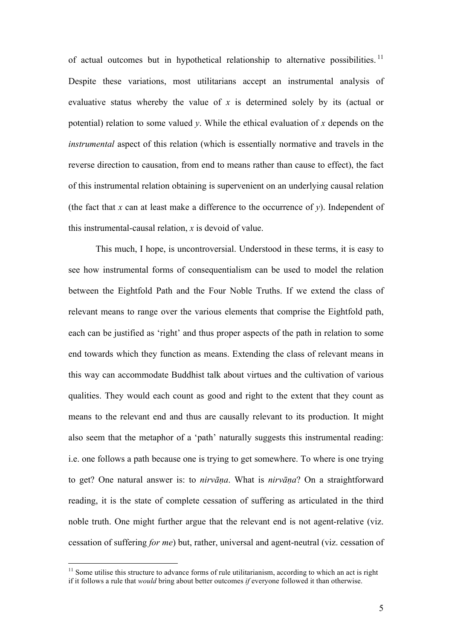of actual outcomes but in hypothetical relationship to alternative possibilities.<sup>11</sup> Despite these variations, most utilitarians accept an instrumental analysis of evaluative status whereby the value of *x* is determined solely by its (actual or potential) relation to some valued *y*. While the ethical evaluation of *x* depends on the *instrumental* aspect of this relation (which is essentially normative and travels in the reverse direction to causation, from end to means rather than cause to effect), the fact of this instrumental relation obtaining is supervenient on an underlying causal relation (the fact that *x* can at least make a difference to the occurrence of *y*). Independent of this instrumental-causal relation, *x* is devoid of value.

This much, I hope, is uncontroversial. Understood in these terms, it is easy to see how instrumental forms of consequentialism can be used to model the relation between the Eightfold Path and the Four Noble Truths. If we extend the class of relevant means to range over the various elements that comprise the Eightfold path, each can be justified as 'right' and thus proper aspects of the path in relation to some end towards which they function as means. Extending the class of relevant means in this way can accommodate Buddhist talk about virtues and the cultivation of various qualities. They would each count as good and right to the extent that they count as means to the relevant end and thus are causally relevant to its production. It might also seem that the metaphor of a 'path' naturally suggests this instrumental reading: i.e. one follows a path because one is trying to get somewhere. To where is one trying to get? One natural answer is: to *nirvāṇa*. What is *nirvāṇa*? On a straightforward reading, it is the state of complete cessation of suffering as articulated in the third noble truth. One might further argue that the relevant end is not agent-relative (viz. cessation of suffering *for me*) but, rather, universal and agent-neutral (viz. cessation of

 $11$  Some utilise this structure to advance forms of rule utilitarianism, according to which an act is right if it follows a rule that *would* bring about better outcomes *if* everyone followed it than otherwise.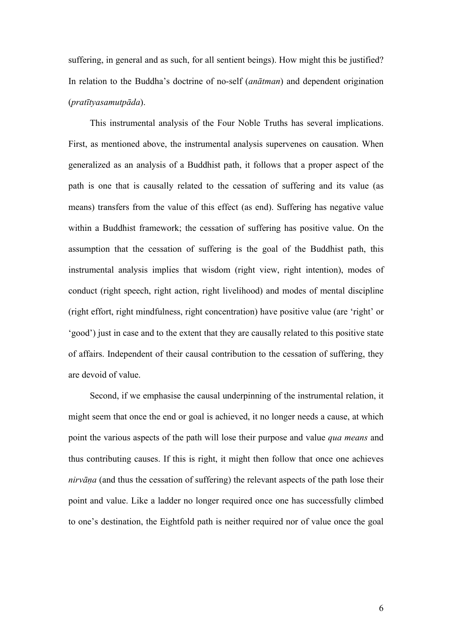suffering, in general and as such, for all sentient beings). How might this be justified? In relation to the Buddha's doctrine of no-self (*anātman*) and dependent origination (*pratītyasamutpāda*).

This instrumental analysis of the Four Noble Truths has several implications. First, as mentioned above, the instrumental analysis supervenes on causation. When generalized as an analysis of a Buddhist path, it follows that a proper aspect of the path is one that is causally related to the cessation of suffering and its value (as means) transfers from the value of this effect (as end). Suffering has negative value within a Buddhist framework; the cessation of suffering has positive value. On the assumption that the cessation of suffering is the goal of the Buddhist path, this instrumental analysis implies that wisdom (right view, right intention), modes of conduct (right speech, right action, right livelihood) and modes of mental discipline (right effort, right mindfulness, right concentration) have positive value (are 'right' or 'good') just in case and to the extent that they are causally related to this positive state of affairs. Independent of their causal contribution to the cessation of suffering, they are devoid of value.

Second, if we emphasise the causal underpinning of the instrumental relation, it might seem that once the end or goal is achieved, it no longer needs a cause, at which point the various aspects of the path will lose their purpose and value *qua means* and thus contributing causes. If this is right, it might then follow that once one achieves *nirvāṇa* (and thus the cessation of suffering) the relevant aspects of the path lose their point and value. Like a ladder no longer required once one has successfully climbed to one's destination, the Eightfold path is neither required nor of value once the goal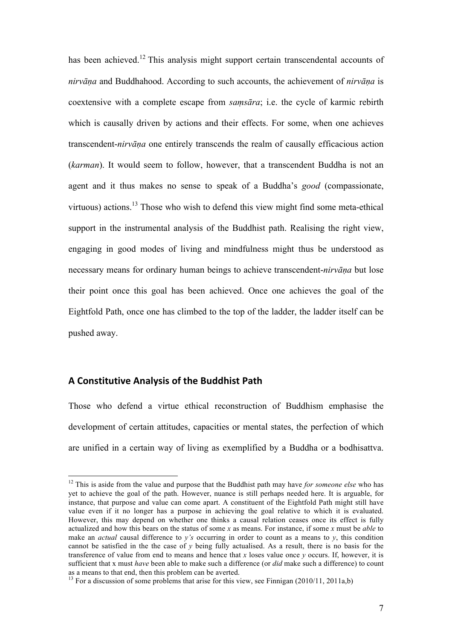has been achieved.<sup>12</sup> This analysis might support certain transcendental accounts of *nirvāṇa* and Buddhahood. According to such accounts, the achievement of *nirvāṇa* is coextensive with a complete escape from *saṃsāra*; i.e. the cycle of karmic rebirth which is causally driven by actions and their effects. For some, when one achieves transcendent-*nirvāṇa* one entirely transcends the realm of causally efficacious action (*karman*). It would seem to follow, however, that a transcendent Buddha is not an agent and it thus makes no sense to speak of a Buddha's *good* (compassionate, virtuous) actions.<sup>13</sup> Those who wish to defend this view might find some meta-ethical support in the instrumental analysis of the Buddhist path. Realising the right view, engaging in good modes of living and mindfulness might thus be understood as necessary means for ordinary human beings to achieve transcendent-*nirvāṇa* but lose their point once this goal has been achieved. Once one achieves the goal of the Eightfold Path, once one has climbed to the top of the ladder, the ladder itself can be pushed away.

### **A Constitutive Analysis of the Buddhist Path**

Those who defend a virtue ethical reconstruction of Buddhism emphasise the development of certain attitudes, capacities or mental states, the perfection of which are unified in a certain way of living as exemplified by a Buddha or a bodhisattva.

<sup>&</sup>lt;sup>12</sup> This is aside from the value and purpose that the Buddhist path may have *for someone else* who has yet to achieve the goal of the path. However, nuance is still perhaps needed here. It is arguable, for instance, that purpose and value can come apart. A constituent of the Eightfold Path might still have value even if it no longer has a purpose in achieving the goal relative to which it is evaluated. However, this may depend on whether one thinks a causal relation ceases once its effect is fully actualized and how this bears on the status of some *x* as means. For instance, if some *x* must be *able* to make an *actual* causal difference to  $v'$  occurring in order to count as a means to  $v$ , this condition cannot be satisfied in the the case of *y* being fully actualised. As a result, there is no basis for the transference of value from end to means and hence that *x* loses value once *y* occurs. If, however, it is sufficient that x must *have* been able to make such a difference (or *did* make such a difference) to count as a means to that end, then this problem can be averted.

<sup>&</sup>lt;sup>13</sup> For a discussion of some problems that arise for this view, see Finnigan (2010/11, 2011a,b)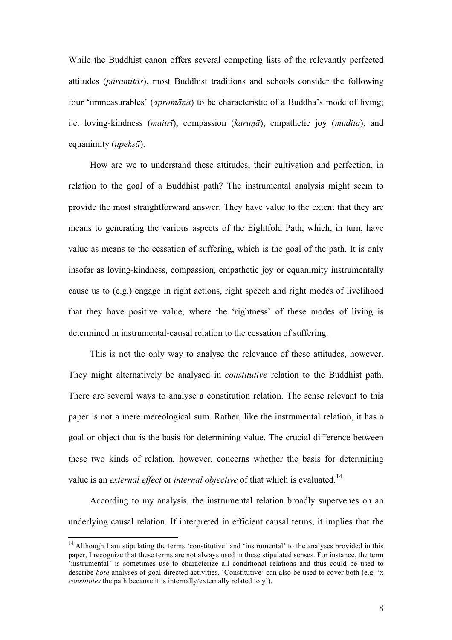While the Buddhist canon offers several competing lists of the relevantly perfected attitudes (*pāramitās*), most Buddhist traditions and schools consider the following four 'immeasurables' (*apramāṇa*) to be characteristic of a Buddha's mode of living; i.e. loving-kindness (*maitrī*), compassion (*karuṇā*), empathetic joy (*mudita*), and equanimity (*upekṣā*).

How are we to understand these attitudes, their cultivation and perfection, in relation to the goal of a Buddhist path? The instrumental analysis might seem to provide the most straightforward answer. They have value to the extent that they are means to generating the various aspects of the Eightfold Path, which, in turn, have value as means to the cessation of suffering, which is the goal of the path. It is only insofar as loving-kindness, compassion, empathetic joy or equanimity instrumentally cause us to (e.g.) engage in right actions, right speech and right modes of livelihood that they have positive value, where the 'rightness' of these modes of living is determined in instrumental-causal relation to the cessation of suffering.

This is not the only way to analyse the relevance of these attitudes, however. They might alternatively be analysed in *constitutive* relation to the Buddhist path. There are several ways to analyse a constitution relation. The sense relevant to this paper is not a mere mereological sum. Rather, like the instrumental relation, it has a goal or object that is the basis for determining value. The crucial difference between these two kinds of relation, however, concerns whether the basis for determining value is an *external effect* or *internal objective* of that which is evaluated.<sup>14</sup>

According to my analysis, the instrumental relation broadly supervenes on an underlying causal relation. If interpreted in efficient causal terms, it implies that the

<sup>&</sup>lt;sup>14</sup> Although I am stipulating the terms 'constitutive' and 'instrumental' to the analyses provided in this paper, I recognize that these terms are not always used in these stipulated senses. For instance, the term 'instrumental' is sometimes use to characterize all conditional relations and thus could be used to describe *both* analyses of goal-directed activities. 'Constitutive' can also be used to cover both (e.g. 'x *constitutes* the path because it is internally/externally related to y').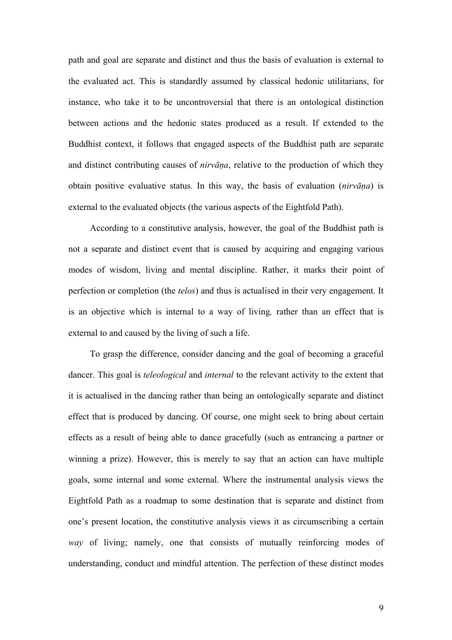path and goal are separate and distinct and thus the basis of evaluation is external to the evaluated act. This is standardly assumed by classical hedonic utilitarians, for instance, who take it to be uncontroversial that there is an ontological distinction between actions and the hedonic states produced as a result. If extended to the Buddhist context, it follows that engaged aspects of the Buddhist path are separate and distinct contributing causes of *nirvāṇa*, relative to the production of which they obtain positive evaluative status. In this way, the basis of evaluation (*nirvāṇa*) is external to the evaluated objects (the various aspects of the Eightfold Path).

According to a constitutive analysis, however, the goal of the Buddhist path is not a separate and distinct event that is caused by acquiring and engaging various modes of wisdom, living and mental discipline. Rather, it marks their point of perfection or completion (the *telos*) and thus is actualised in their very engagement. It is an objective which is internal to a way of living*,* rather than an effect that is external to and caused by the living of such a life.

To grasp the difference, consider dancing and the goal of becoming a graceful dancer. This goal is *teleological* and *internal* to the relevant activity to the extent that it is actualised in the dancing rather than being an ontologically separate and distinct effect that is produced by dancing. Of course, one might seek to bring about certain effects as a result of being able to dance gracefully (such as entrancing a partner or winning a prize). However, this is merely to say that an action can have multiple goals, some internal and some external. Where the instrumental analysis views the Eightfold Path as a roadmap to some destination that is separate and distinct from one's present location, the constitutive analysis views it as circumscribing a certain *way* of living; namely, one that consists of mutually reinforcing modes of understanding, conduct and mindful attention. The perfection of these distinct modes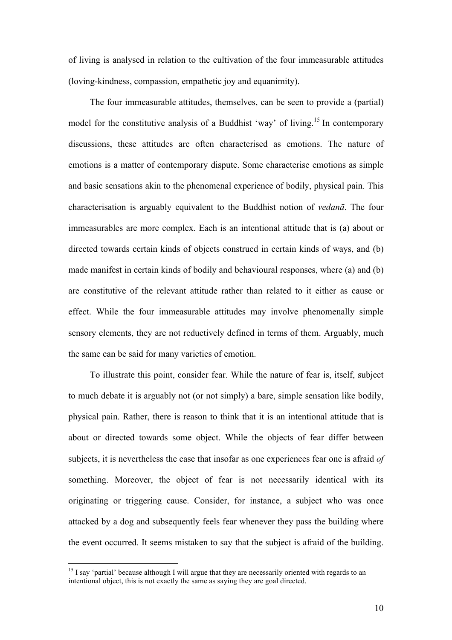of living is analysed in relation to the cultivation of the four immeasurable attitudes (loving-kindness, compassion, empathetic joy and equanimity).

The four immeasurable attitudes, themselves, can be seen to provide a (partial) model for the constitutive analysis of a Buddhist 'way' of living.<sup>15</sup> In contemporary discussions, these attitudes are often characterised as emotions. The nature of emotions is a matter of contemporary dispute. Some characterise emotions as simple and basic sensations akin to the phenomenal experience of bodily, physical pain. This characterisation is arguably equivalent to the Buddhist notion of *vedanā*. The four immeasurables are more complex. Each is an intentional attitude that is (a) about or directed towards certain kinds of objects construed in certain kinds of ways, and (b) made manifest in certain kinds of bodily and behavioural responses, where (a) and (b) are constitutive of the relevant attitude rather than related to it either as cause or effect. While the four immeasurable attitudes may involve phenomenally simple sensory elements, they are not reductively defined in terms of them. Arguably, much the same can be said for many varieties of emotion.

To illustrate this point, consider fear. While the nature of fear is, itself, subject to much debate it is arguably not (or not simply) a bare, simple sensation like bodily, physical pain. Rather, there is reason to think that it is an intentional attitude that is about or directed towards some object. While the objects of fear differ between subjects, it is nevertheless the case that insofar as one experiences fear one is afraid *of* something. Moreover, the object of fear is not necessarily identical with its originating or triggering cause. Consider, for instance, a subject who was once attacked by a dog and subsequently feels fear whenever they pass the building where the event occurred. It seems mistaken to say that the subject is afraid of the building.

<sup>&</sup>lt;sup>15</sup> I say 'partial' because although I will argue that they are necessarily oriented with regards to an intentional object, this is not exactly the same as saying they are goal directed.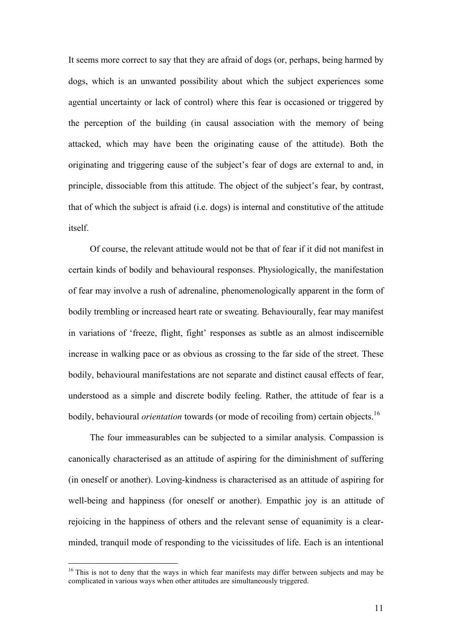It seems more correct to say that they are afraid of dogs (or, perhaps, being harmed by dogs, which is an unwanted possibility about which the subject experiences some agential uncertainty or lack of control) where this fear is occasioned or triggered by the perception of the building (in causal association with the memory of being attacked, which may have been the originating cause of the attitude). Both the originating and triggering cause of the subject's fear of dogs are external to and, in principle, dissociable from this attitude. The object of the subject's fear, by contrast, that of which the subject is afraid (i.e. dogs) is internal and constitutive of the attitude itself.

Of course, the relevant attitude would not be that of fear if it did not manifest in certain kinds of bodily and behavioural responses. Physiologically, the manifestation of fear may involve a rush of adrenaline, phenomenologically apparent in the form of bodily trembling or increased heart rate or sweating. Behaviourally, fear may manifest in variations of 'freeze, flight, fight' responses as subtle as an almost indiscernible increase in walking pace or as obvious as crossing to the far side of the street. These bodily, behavioural manifestations are not separate and distinct causal effects of fear, understood as a simple and discrete bodily feeling. Rather, the attitude of fear is a bodily, behavioural *orientation* towards (or mode of recoiling from) certain objects.<sup>16</sup>

The four immeasurables can be subjected to a similar analysis. Compassion is canonically characterised as an attitude of aspiring for the diminishment of suffering (in oneself or another). Loving-kindness is characterised as an attitude of aspiring for well-being and happiness (for oneself or another). Empathic joy is an attitude of rejoicing in the happiness of others and the relevant sense of equanimity is a clearminded, tranquil mode of responding to the vicissitudes of life. Each is an intentional

 $16$  This is not to deny that the ways in which fear manifests may differ between subjects and may be complicated in various ways when other attitudes are simultaneously triggered.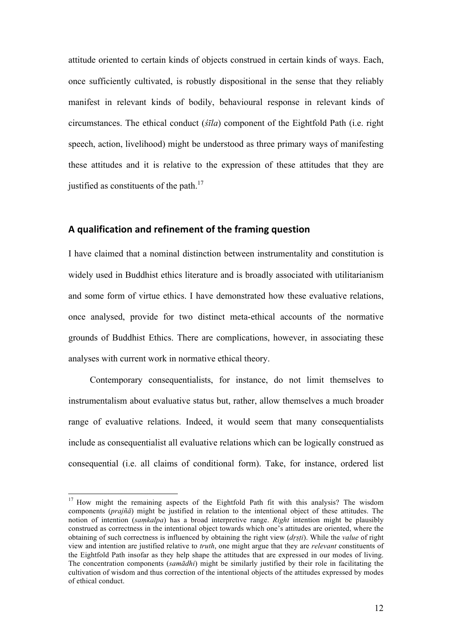attitude oriented to certain kinds of objects construed in certain kinds of ways. Each, once sufficiently cultivated, is robustly dispositional in the sense that they reliably manifest in relevant kinds of bodily, behavioural response in relevant kinds of circumstances. The ethical conduct (*śīla*) component of the Eightfold Path (i.e. right speech, action, livelihood) might be understood as three primary ways of manifesting these attitudes and it is relative to the expression of these attitudes that they are justified as constituents of the path.<sup>17</sup>

### **A qualification and refinement of the framing question**

I have claimed that a nominal distinction between instrumentality and constitution is widely used in Buddhist ethics literature and is broadly associated with utilitarianism and some form of virtue ethics. I have demonstrated how these evaluative relations, once analysed, provide for two distinct meta-ethical accounts of the normative grounds of Buddhist Ethics. There are complications, however, in associating these analyses with current work in normative ethical theory.

Contemporary consequentialists, for instance, do not limit themselves to instrumentalism about evaluative status but, rather, allow themselves a much broader range of evaluative relations. Indeed, it would seem that many consequentialists include as consequentialist all evaluative relations which can be logically construed as consequential (i.e. all claims of conditional form). Take, for instance, ordered list

<sup>&</sup>lt;sup>17</sup> How might the remaining aspects of the Eightfold Path fit with this analysis? The wisdom components (*prajñā*) might be justified in relation to the intentional object of these attitudes. The notion of intention (*saṃkalpa*) has a broad interpretive range. *Right* intention might be plausibly construed as correctness in the intentional object towards which one's attitudes are oriented, where the obtaining of such correctness is influenced by obtaining the right view (*dṛṣṭi*). While the *value* of right view and intention are justified relative to *truth*, one might argue that they are *relevant* constituents of the Eightfold Path insofar as they help shape the attitudes that are expressed in our modes of living. The concentration components (*samādhi*) might be similarly justified by their role in facilitating the cultivation of wisdom and thus correction of the intentional objects of the attitudes expressed by modes of ethical conduct.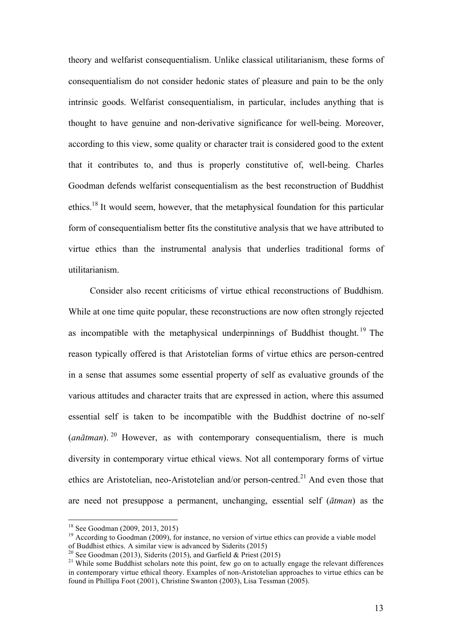theory and welfarist consequentialism. Unlike classical utilitarianism, these forms of consequentialism do not consider hedonic states of pleasure and pain to be the only intrinsic goods. Welfarist consequentialism, in particular, includes anything that is thought to have genuine and non-derivative significance for well-being. Moreover, according to this view, some quality or character trait is considered good to the extent that it contributes to, and thus is properly constitutive of, well-being. Charles Goodman defends welfarist consequentialism as the best reconstruction of Buddhist ethics.18 It would seem, however, that the metaphysical foundation for this particular form of consequentialism better fits the constitutive analysis that we have attributed to virtue ethics than the instrumental analysis that underlies traditional forms of utilitarianism.

Consider also recent criticisms of virtue ethical reconstructions of Buddhism. While at one time quite popular, these reconstructions are now often strongly rejected as incompatible with the metaphysical underpinnings of Buddhist thought.<sup>19</sup> The reason typically offered is that Aristotelian forms of virtue ethics are person-centred in a sense that assumes some essential property of self as evaluative grounds of the various attitudes and character traits that are expressed in action, where this assumed essential self is taken to be incompatible with the Buddhist doctrine of no-self (*anātman*). <sup>20</sup> However, as with contemporary consequentialism, there is much diversity in contemporary virtue ethical views. Not all contemporary forms of virtue ethics are Aristotelian, neo-Aristotelian and/or person-centred.<sup>21</sup> And even those that are need not presuppose a permanent, unchanging, essential self (*ātman*) as the

<sup>&</sup>lt;sup>18</sup> See Goodman (2009, 2013, 2015)<br><sup>19</sup> According to Goodman (2009), for instance, no version of virtue ethics can provide a viable model<br>of Buddhist ethics. A similar view is advanced by Siderits (2015)

<sup>&</sup>lt;sup>20</sup> See Goodman (2013), Siderits (2015), and Garfield & Priest (2015)<br><sup>21</sup> While some Buddhist scholars note this point, few go on to actually engage the relevant differences in contemporary virtue ethical theory. Examples of non-Aristotelian approaches to virtue ethics can be found in Phillipa Foot (2001), Christine Swanton (2003), Lisa Tessman (2005).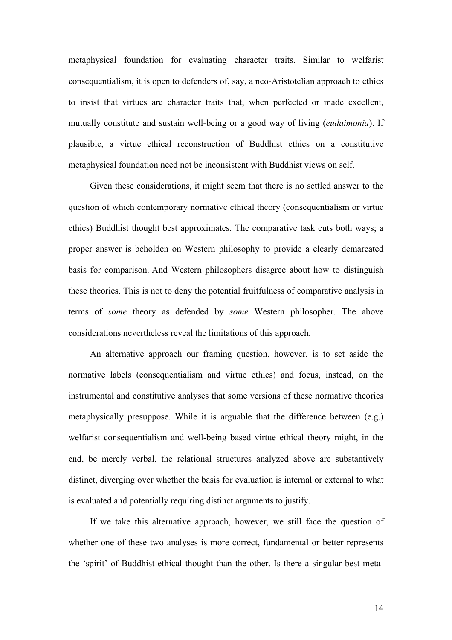metaphysical foundation for evaluating character traits. Similar to welfarist consequentialism, it is open to defenders of, say, a neo-Aristotelian approach to ethics to insist that virtues are character traits that, when perfected or made excellent, mutually constitute and sustain well-being or a good way of living (*eudaimonia*). If plausible, a virtue ethical reconstruction of Buddhist ethics on a constitutive metaphysical foundation need not be inconsistent with Buddhist views on self.

Given these considerations, it might seem that there is no settled answer to the question of which contemporary normative ethical theory (consequentialism or virtue ethics) Buddhist thought best approximates. The comparative task cuts both ways; a proper answer is beholden on Western philosophy to provide a clearly demarcated basis for comparison. And Western philosophers disagree about how to distinguish these theories. This is not to deny the potential fruitfulness of comparative analysis in terms of *some* theory as defended by *some* Western philosopher. The above considerations nevertheless reveal the limitations of this approach.

An alternative approach our framing question, however, is to set aside the normative labels (consequentialism and virtue ethics) and focus, instead, on the instrumental and constitutive analyses that some versions of these normative theories metaphysically presuppose. While it is arguable that the difference between (e.g.) welfarist consequentialism and well-being based virtue ethical theory might, in the end, be merely verbal, the relational structures analyzed above are substantively distinct, diverging over whether the basis for evaluation is internal or external to what is evaluated and potentially requiring distinct arguments to justify.

If we take this alternative approach, however, we still face the question of whether one of these two analyses is more correct, fundamental or better represents the 'spirit' of Buddhist ethical thought than the other. Is there a singular best meta-

14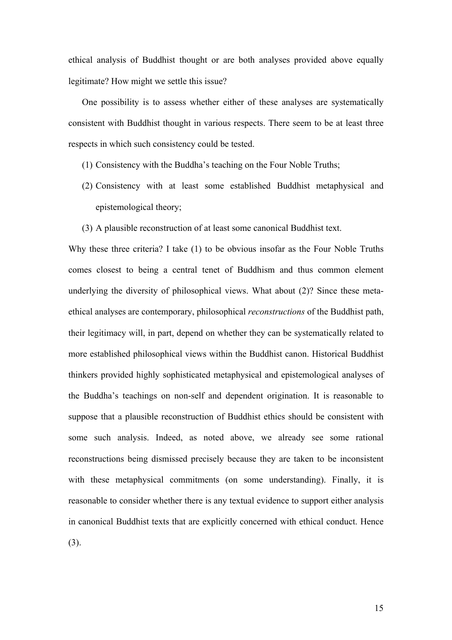ethical analysis of Buddhist thought or are both analyses provided above equally legitimate? How might we settle this issue?

One possibility is to assess whether either of these analyses are systematically consistent with Buddhist thought in various respects. There seem to be at least three respects in which such consistency could be tested.

- (1) Consistency with the Buddha's teaching on the Four Noble Truths;
- (2) Consistency with at least some established Buddhist metaphysical and epistemological theory;
- (3) A plausible reconstruction of at least some canonical Buddhist text.

Why these three criteria? I take (1) to be obvious insofar as the Four Noble Truths comes closest to being a central tenet of Buddhism and thus common element underlying the diversity of philosophical views. What about (2)? Since these metaethical analyses are contemporary, philosophical *reconstructions* of the Buddhist path, their legitimacy will, in part, depend on whether they can be systematically related to more established philosophical views within the Buddhist canon. Historical Buddhist thinkers provided highly sophisticated metaphysical and epistemological analyses of the Buddha's teachings on non-self and dependent origination. It is reasonable to suppose that a plausible reconstruction of Buddhist ethics should be consistent with some such analysis. Indeed, as noted above, we already see some rational reconstructions being dismissed precisely because they are taken to be inconsistent with these metaphysical commitments (on some understanding). Finally, it is reasonable to consider whether there is any textual evidence to support either analysis in canonical Buddhist texts that are explicitly concerned with ethical conduct. Hence (3).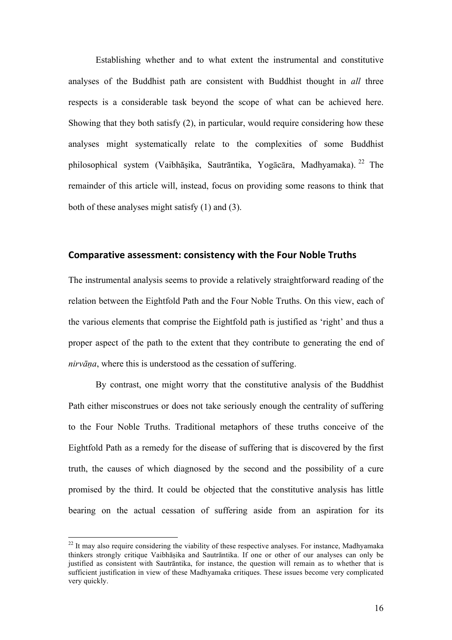Establishing whether and to what extent the instrumental and constitutive analyses of the Buddhist path are consistent with Buddhist thought in *all* three respects is a considerable task beyond the scope of what can be achieved here. Showing that they both satisfy (2), in particular, would require considering how these analyses might systematically relate to the complexities of some Buddhist philosophical system (Vaibhāṣika, Sautrāntika, Yogācāra, Madhyamaka). <sup>22</sup> The remainder of this article will, instead, focus on providing some reasons to think that both of these analyses might satisfy (1) and (3).

#### **Comparative assessment: consistency with the Four Noble Truths**

The instrumental analysis seems to provide a relatively straightforward reading of the relation between the Eightfold Path and the Four Noble Truths. On this view, each of the various elements that comprise the Eightfold path is justified as 'right' and thus a proper aspect of the path to the extent that they contribute to generating the end of *nirvāṇa*, where this is understood as the cessation of suffering.

By contrast, one might worry that the constitutive analysis of the Buddhist Path either misconstrues or does not take seriously enough the centrality of suffering to the Four Noble Truths. Traditional metaphors of these truths conceive of the Eightfold Path as a remedy for the disease of suffering that is discovered by the first truth, the causes of which diagnosed by the second and the possibility of a cure promised by the third. It could be objected that the constitutive analysis has little bearing on the actual cessation of suffering aside from an aspiration for its

<sup>&</sup>lt;sup>22</sup> It mav also require considering the viability of these respective analyses. For instance, Madhyamaka thinkers strongly critique Vaibhāṣika and Sautrāntika. If one or other of our analyses can only be justified as consistent with Sautrāntika, for instance, the question will remain as to whether that is sufficient justification in view of these Madhyamaka critiques. These issues become very complicated very quickly.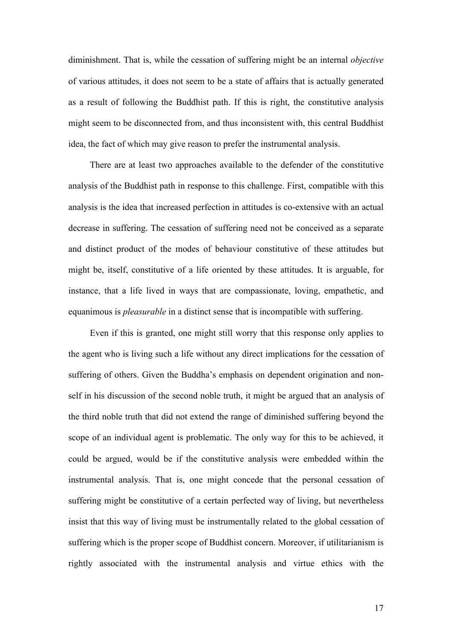diminishment. That is, while the cessation of suffering might be an internal *objective* of various attitudes, it does not seem to be a state of affairs that is actually generated as a result of following the Buddhist path. If this is right, the constitutive analysis might seem to be disconnected from, and thus inconsistent with, this central Buddhist idea, the fact of which may give reason to prefer the instrumental analysis.

There are at least two approaches available to the defender of the constitutive analysis of the Buddhist path in response to this challenge. First, compatible with this analysis is the idea that increased perfection in attitudes is co-extensive with an actual decrease in suffering. The cessation of suffering need not be conceived as a separate and distinct product of the modes of behaviour constitutive of these attitudes but might be, itself, constitutive of a life oriented by these attitudes. It is arguable, for instance, that a life lived in ways that are compassionate, loving, empathetic, and equanimous is *pleasurable* in a distinct sense that is incompatible with suffering.

Even if this is granted, one might still worry that this response only applies to the agent who is living such a life without any direct implications for the cessation of suffering of others. Given the Buddha's emphasis on dependent origination and nonself in his discussion of the second noble truth, it might be argued that an analysis of the third noble truth that did not extend the range of diminished suffering beyond the scope of an individual agent is problematic. The only way for this to be achieved, it could be argued, would be if the constitutive analysis were embedded within the instrumental analysis. That is, one might concede that the personal cessation of suffering might be constitutive of a certain perfected way of living, but nevertheless insist that this way of living must be instrumentally related to the global cessation of suffering which is the proper scope of Buddhist concern. Moreover, if utilitarianism is rightly associated with the instrumental analysis and virtue ethics with the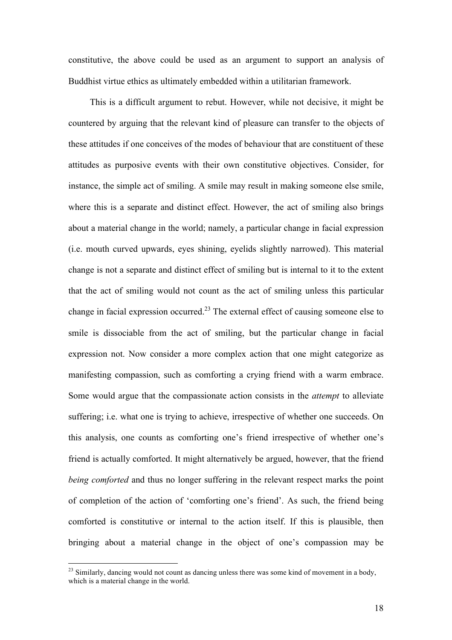constitutive, the above could be used as an argument to support an analysis of Buddhist virtue ethics as ultimately embedded within a utilitarian framework.

This is a difficult argument to rebut. However, while not decisive, it might be countered by arguing that the relevant kind of pleasure can transfer to the objects of these attitudes if one conceives of the modes of behaviour that are constituent of these attitudes as purposive events with their own constitutive objectives. Consider, for instance, the simple act of smiling. A smile may result in making someone else smile, where this is a separate and distinct effect. However, the act of smiling also brings about a material change in the world; namely, a particular change in facial expression (i.e. mouth curved upwards, eyes shining, eyelids slightly narrowed). This material change is not a separate and distinct effect of smiling but is internal to it to the extent that the act of smiling would not count as the act of smiling unless this particular change in facial expression occurred.<sup>23</sup> The external effect of causing someone else to smile is dissociable from the act of smiling, but the particular change in facial expression not. Now consider a more complex action that one might categorize as manifesting compassion, such as comforting a crying friend with a warm embrace. Some would argue that the compassionate action consists in the *attempt* to alleviate suffering; i.e. what one is trying to achieve, irrespective of whether one succeeds. On this analysis, one counts as comforting one's friend irrespective of whether one's friend is actually comforted. It might alternatively be argued, however, that the friend *being comforted* and thus no longer suffering in the relevant respect marks the point of completion of the action of 'comforting one's friend'. As such, the friend being comforted is constitutive or internal to the action itself. If this is plausible, then bringing about a material change in the object of one's compassion may be

 $^{23}$  Similarly, dancing would not count as dancing unless there was some kind of movement in a body, which is a material change in the world.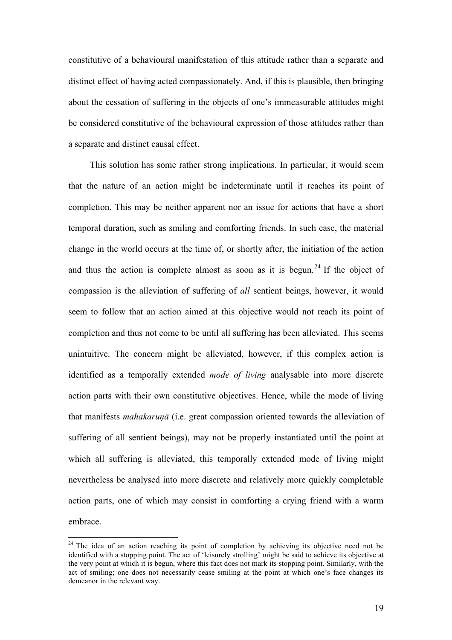constitutive of a behavioural manifestation of this attitude rather than a separate and distinct effect of having acted compassionately. And, if this is plausible, then bringing about the cessation of suffering in the objects of one's immeasurable attitudes might be considered constitutive of the behavioural expression of those attitudes rather than a separate and distinct causal effect.

This solution has some rather strong implications. In particular, it would seem that the nature of an action might be indeterminate until it reaches its point of completion. This may be neither apparent nor an issue for actions that have a short temporal duration, such as smiling and comforting friends. In such case, the material change in the world occurs at the time of, or shortly after, the initiation of the action and thus the action is complete almost as soon as it is begun.<sup>24</sup> If the object of compassion is the alleviation of suffering of *all* sentient beings, however, it would seem to follow that an action aimed at this objective would not reach its point of completion and thus not come to be until all suffering has been alleviated. This seems unintuitive. The concern might be alleviated, however, if this complex action is identified as a temporally extended *mode of living* analysable into more discrete action parts with their own constitutive objectives. Hence, while the mode of living that manifests *mahakaruṇā* (i.e. great compassion oriented towards the alleviation of suffering of all sentient beings), may not be properly instantiated until the point at which all suffering is alleviated, this temporally extended mode of living might nevertheless be analysed into more discrete and relatively more quickly completable action parts, one of which may consist in comforting a crying friend with a warm embrace.

<sup>&</sup>lt;sup>24</sup> The idea of an action reaching its point of completion by achieving its objective need not be identified with a stopping point. The act of 'leisurely strolling' might be said to achieve its objective at the very point at which it is begun, where this fact does not mark its stopping point. Similarly, with the act of smiling; one does not necessarily cease smiling at the point at which one's face changes its demeanor in the relevant way.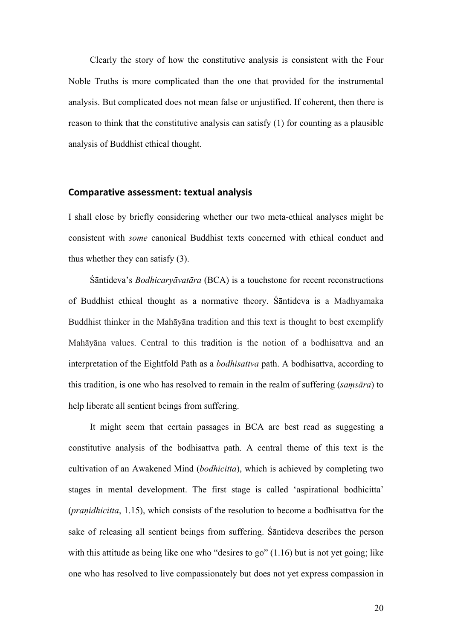Clearly the story of how the constitutive analysis is consistent with the Four Noble Truths is more complicated than the one that provided for the instrumental analysis. But complicated does not mean false or unjustified. If coherent, then there is reason to think that the constitutive analysis can satisfy (1) for counting as a plausible analysis of Buddhist ethical thought.

#### **Comparative assessment: textual analysis**

I shall close by briefly considering whether our two meta-ethical analyses might be consistent with *some* canonical Buddhist texts concerned with ethical conduct and thus whether they can satisfy (3).

Śāntideva's *Bodhicaryāvatāra* (BCA) is a touchstone for recent reconstructions of Buddhist ethical thought as a normative theory. Śāntideva is a Madhyamaka Buddhist thinker in the Mahāyāna tradition and this text is thought to best exemplify Mahāyāna values. Central to this tradition is the notion of a bodhisattva and an interpretation of the Eightfold Path as a *bodhisattva* path. A bodhisattva, according to this tradition, is one who has resolved to remain in the realm of suffering (*saṃsāra*) to help liberate all sentient beings from suffering.

It might seem that certain passages in BCA are best read as suggesting a constitutive analysis of the bodhisattva path. A central theme of this text is the cultivation of an Awakened Mind (*bodhicitta*), which is achieved by completing two stages in mental development. The first stage is called 'aspirational bodhicitta' (*praṇidhicitta*, 1.15), which consists of the resolution to become a bodhisattva for the sake of releasing all sentient beings from suffering. Śāntideva describes the person with this attitude as being like one who "desires to go"  $(1.16)$  but is not yet going; like one who has resolved to live compassionately but does not yet express compassion in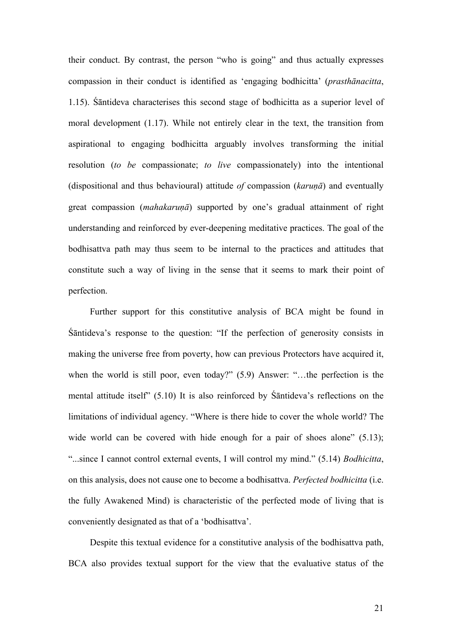their conduct. By contrast, the person "who is going" and thus actually expresses compassion in their conduct is identified as 'engaging bodhicitta' (*prasthānacitta*, 1.15). Śāntideva characterises this second stage of bodhicitta as a superior level of moral development (1.17). While not entirely clear in the text, the transition from aspirational to engaging bodhicitta arguably involves transforming the initial resolution (*to be* compassionate; *to live* compassionately) into the intentional (dispositional and thus behavioural) attitude *of* compassion (*karuṇā*) and eventually great compassion (*mahakaruṇā*) supported by one's gradual attainment of right understanding and reinforced by ever-deepening meditative practices. The goal of the bodhisattva path may thus seem to be internal to the practices and attitudes that constitute such a way of living in the sense that it seems to mark their point of perfection.

Further support for this constitutive analysis of BCA might be found in Śāntideva's response to the question: "If the perfection of generosity consists in making the universe free from poverty, how can previous Protectors have acquired it, when the world is still poor, even today?" (5.9) Answer: "...the perfection is the mental attitude itself" (5.10) It is also reinforced by Śāntideva's reflections on the limitations of individual agency. "Where is there hide to cover the whole world? The wide world can be covered with hide enough for a pair of shoes alone" (5.13); "...since I cannot control external events, I will control my mind." (5.14) *Bodhicitta*, on this analysis, does not cause one to become a bodhisattva. *Perfected bodhicitta* (i.e. the fully Awakened Mind) is characteristic of the perfected mode of living that is conveniently designated as that of a 'bodhisattva'.

Despite this textual evidence for a constitutive analysis of the bodhisattva path, BCA also provides textual support for the view that the evaluative status of the

21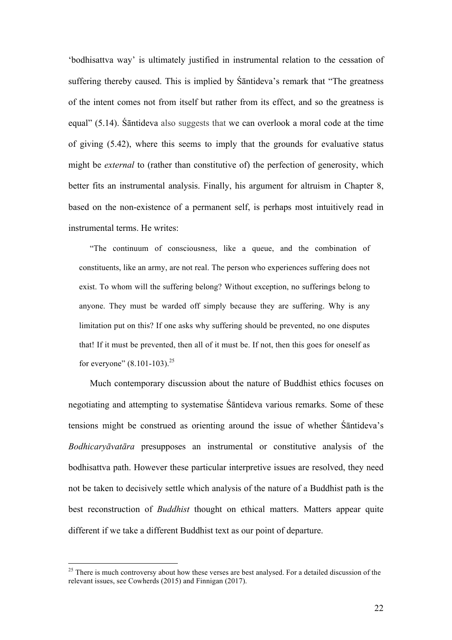'bodhisattva way' is ultimately justified in instrumental relation to the cessation of suffering thereby caused. This is implied by Śāntideva's remark that "The greatness of the intent comes not from itself but rather from its effect, and so the greatness is equal" (5.14). Śāntideva also suggests that we can overlook a moral code at the time of giving (5.42), where this seems to imply that the grounds for evaluative status might be *external* to (rather than constitutive of) the perfection of generosity, which better fits an instrumental analysis. Finally, his argument for altruism in Chapter 8, based on the non-existence of a permanent self, is perhaps most intuitively read in instrumental terms. He writes:

"The continuum of consciousness, like a queue, and the combination of constituents, like an army, are not real. The person who experiences suffering does not exist. To whom will the suffering belong? Without exception, no sufferings belong to anyone. They must be warded off simply because they are suffering. Why is any limitation put on this? If one asks why suffering should be prevented, no one disputes that! If it must be prevented, then all of it must be. If not, then this goes for oneself as for everyone"  $(8.101 - 103)^{25}$ 

Much contemporary discussion about the nature of Buddhist ethics focuses on negotiating and attempting to systematise Śāntideva various remarks. Some of these tensions might be construed as orienting around the issue of whether Śāntideva's *Bodhicaryāvatāra* presupposes an instrumental or constitutive analysis of the bodhisattva path. However these particular interpretive issues are resolved, they need not be taken to decisively settle which analysis of the nature of a Buddhist path is the best reconstruction of *Buddhist* thought on ethical matters. Matters appear quite different if we take a different Buddhist text as our point of departure.

<sup>&</sup>lt;sup>25</sup> There is much controversy about how these verses are best analysed. For a detailed discussion of the relevant issues, see Cowherds (2015) and Finnigan (2017).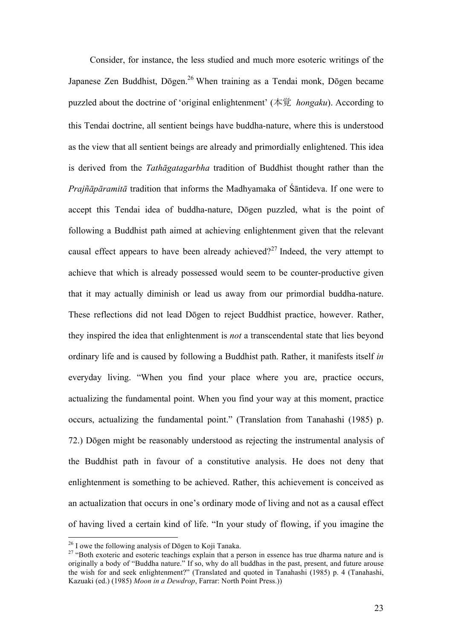Consider, for instance, the less studied and much more esoteric writings of the Japanese Zen Buddhist, Dōgen.<sup>26</sup> When training as a Tendai monk, Dōgen became puzzled about the doctrine of 'original enlightenment' (本覚 *hongaku*). According to this Tendai doctrine, all sentient beings have buddha-nature, where this is understood as the view that all sentient beings are already and primordially enlightened. This idea is derived from the *Tathāgatagarbha* tradition of Buddhist thought rather than the *Prajñāpāramitā* tradition that informs the Madhyamaka of Śāntideva. If one were to accept this Tendai idea of buddha-nature, Dōgen puzzled, what is the point of following a Buddhist path aimed at achieving enlightenment given that the relevant causal effect appears to have been already achieved?<sup>27</sup> Indeed, the very attempt to achieve that which is already possessed would seem to be counter-productive given that it may actually diminish or lead us away from our primordial buddha-nature. These reflections did not lead Dōgen to reject Buddhist practice, however. Rather, they inspired the idea that enlightenment is *not* a transcendental state that lies beyond ordinary life and is caused by following a Buddhist path. Rather, it manifests itself *in* everyday living. "When you find your place where you are, practice occurs, actualizing the fundamental point. When you find your way at this moment, practice occurs, actualizing the fundamental point." (Translation from Tanahashi (1985) p. 72.) Dōgen might be reasonably understood as rejecting the instrumental analysis of the Buddhist path in favour of a constitutive analysis. He does not deny that enlightenment is something to be achieved. Rather, this achievement is conceived as an actualization that occurs in one's ordinary mode of living and not as a causal effect of having lived a certain kind of life. "In your study of flowing, if you imagine the

<sup>&</sup>lt;sup>26</sup> I owe the following analysis of Dōgen to Koji Tanaka.<br><sup>27</sup> "Both exoteric and esoteric teachings explain that a person in essence has true dharma nature and is originally a body of "Buddha nature." If so, why do all buddhas in the past, present, and future arouse the wish for and seek enlightenment?" (Translated and quoted in Tanahashi (1985) p. 4 (Tanahashi, Kazuaki (ed.) (1985) *Moon in a Dewdrop*, Farrar: North Point Press.))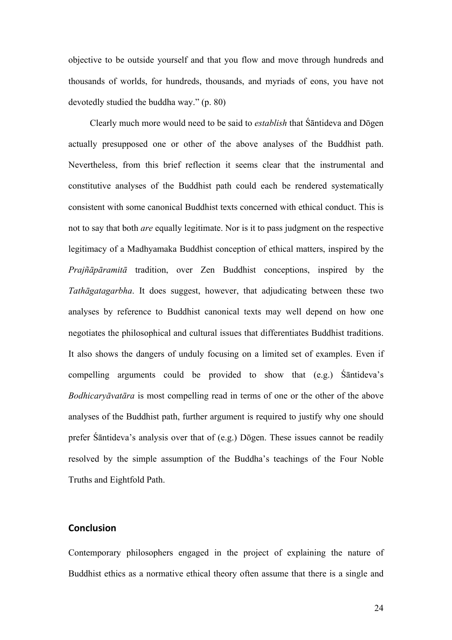objective to be outside yourself and that you flow and move through hundreds and thousands of worlds, for hundreds, thousands, and myriads of eons, you have not devotedly studied the buddha way." (p. 80)

Clearly much more would need to be said to *establish* that Śāntideva and Dōgen actually presupposed one or other of the above analyses of the Buddhist path. Nevertheless, from this brief reflection it seems clear that the instrumental and constitutive analyses of the Buddhist path could each be rendered systematically consistent with some canonical Buddhist texts concerned with ethical conduct. This is not to say that both *are* equally legitimate. Nor is it to pass judgment on the respective legitimacy of a Madhyamaka Buddhist conception of ethical matters, inspired by the *Prajñāpāramitā* tradition, over Zen Buddhist conceptions, inspired by the *Tathāgatagarbha*. It does suggest, however, that adjudicating between these two analyses by reference to Buddhist canonical texts may well depend on how one negotiates the philosophical and cultural issues that differentiates Buddhist traditions. It also shows the dangers of unduly focusing on a limited set of examples. Even if compelling arguments could be provided to show that (e.g.) Śāntideva's *Bodhicaryāvatāra* is most compelling read in terms of one or the other of the above analyses of the Buddhist path, further argument is required to justify why one should prefer Śāntideva's analysis over that of (e.g.) Dōgen. These issues cannot be readily resolved by the simple assumption of the Buddha's teachings of the Four Noble Truths and Eightfold Path.

# **Conclusion**

Contemporary philosophers engaged in the project of explaining the nature of Buddhist ethics as a normative ethical theory often assume that there is a single and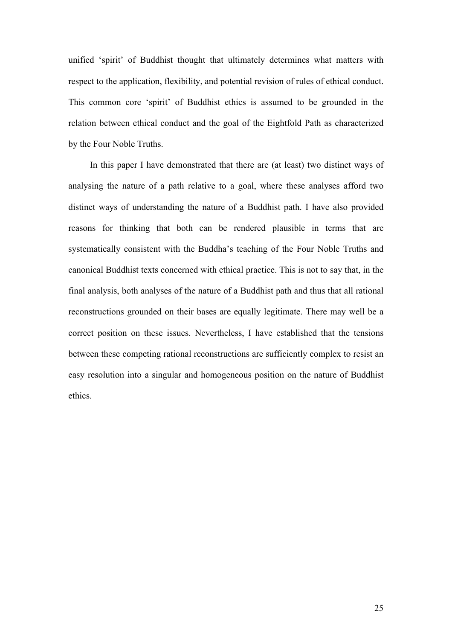unified 'spirit' of Buddhist thought that ultimately determines what matters with respect to the application, flexibility, and potential revision of rules of ethical conduct. This common core 'spirit' of Buddhist ethics is assumed to be grounded in the relation between ethical conduct and the goal of the Eightfold Path as characterized by the Four Noble Truths.

In this paper I have demonstrated that there are (at least) two distinct ways of analysing the nature of a path relative to a goal, where these analyses afford two distinct ways of understanding the nature of a Buddhist path. I have also provided reasons for thinking that both can be rendered plausible in terms that are systematically consistent with the Buddha's teaching of the Four Noble Truths and canonical Buddhist texts concerned with ethical practice. This is not to say that, in the final analysis, both analyses of the nature of a Buddhist path and thus that all rational reconstructions grounded on their bases are equally legitimate. There may well be a correct position on these issues. Nevertheless, I have established that the tensions between these competing rational reconstructions are sufficiently complex to resist an easy resolution into a singular and homogeneous position on the nature of Buddhist ethics.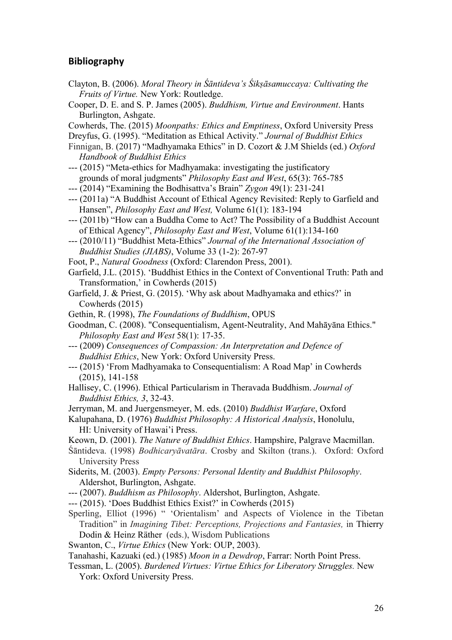### **Bibliography**

- Clayton, B. (2006). *Moral Theory in Śāntideva's Śikṣāsamuccaya: Cultivating the Fruits of Virtue.* New York: Routledge.
- Cooper, D. E. and S. P. James (2005). *Buddhism, Virtue and Environment*. Hants Burlington, Ashgate.

Cowherds, The. (2015) *Moonpaths: Ethics and Emptiness*, Oxford University Press

- Dreyfus, G. (1995). "Meditation as Ethical Activity." *Journal of Buddhist Ethics*
- Finnigan, B. (2017) "Madhyamaka Ethics" in D. Cozort & J.M Shields (ed.) *Oxford Handbook of Buddhist Ethics*
- --- (2015) "Meta-ethics for Madhyamaka: investigating the justificatory grounds of moral judgments" *Philosophy East and West*, 65(3): 765-785
- --- (2014) "Examining the Bodhisattva's Brain" *Zygon* 49(1): 231-241
- --- (2011a) "A Buddhist Account of Ethical Agency Revisited: Reply to Garfield and Hansen", *Philosophy East and West,* Volume 61(1): 183-194
- --- (2011b) "How can a Buddha Come to Act? The Possibility of a Buddhist Account of Ethical Agency", *Philosophy East and West*, Volume 61(1):134-160
- --- (2010/11) "Buddhist Meta-Ethics" *Journal of the International Association of Buddhist Studies (JIABS)*, Volume 33 (1-2): 267-97
- Foot, P., *Natural Goodness* (Oxford: Clarendon Press, 2001).
- Garfield, J.L. (2015). 'Buddhist Ethics in the Context of Conventional Truth: Path and Transformation,' in Cowherds (2015)
- Garfield, J. & Priest, G. (2015). 'Why ask about Madhyamaka and ethics?' in Cowherds (2015)
- Gethin, R. (1998), *The Foundations of Buddhism*, OPUS
- Goodman, C. (2008). "Consequentialism, Agent-Neutrality, And Mahāyāna Ethics." *Philosophy East and West* 58(1): 17-35.
- --- (2009) *Consequences of Compassion: An Interpretation and Defence of Buddhist Ethics*, New York: Oxford University Press.
- --- (2015) 'From Madhyamaka to Consequentialism: A Road Map' in Cowherds (2015), 141-158
- Hallisey, C. (1996). Ethical Particularism in Theravada Buddhism. *Journal of Buddhist Ethics, 3*, 32-43.
- Jerryman, M. and Juergensmeyer, M. eds. (2010) *Buddhist Warfare*, Oxford
- Kalupahana, D. (1976) *Buddhist Philosophy: A Historical Analysis*, Honolulu, HI: University of Hawai'i Press.
- Keown, D. (2001). *The Nature of Buddhist Ethics*. Hampshire, Palgrave Macmillan.
- Śāntideva. (1998) *Bodhicaryāvatāra*. Crosby and Skilton (trans.). Oxford: Oxford University Press
- Siderits, M. (2003). *Empty Persons: Personal Identity and Buddhist Philosophy*. Aldershot, Burlington, Ashgate.
- --- (2007). *Buddhism as Philosophy*. Aldershot, Burlington, Ashgate.
- --- (2015). 'Does Buddhist Ethics Exist?' in Cowherds (2015)
- Sperling, Elliot (1996) " 'Orientalism' and Aspects of Violence in the Tibetan Tradition" in *Imagining Tibet: Perceptions, Projections and Fantasies,* in Thierry Dodin & Heinz Räther (eds.), Wisdom Publications
- Swanton, C., *Virtue Ethics* (New York: OUP, 2003).
- Tanahashi, Kazuaki (ed.) (1985) *Moon in a Dewdrop*, Farrar: North Point Press.
- Tessman, L. (2005). *Burdened Virtues: Virtue Ethics for Liberatory Struggles.* New York: Oxford University Press.